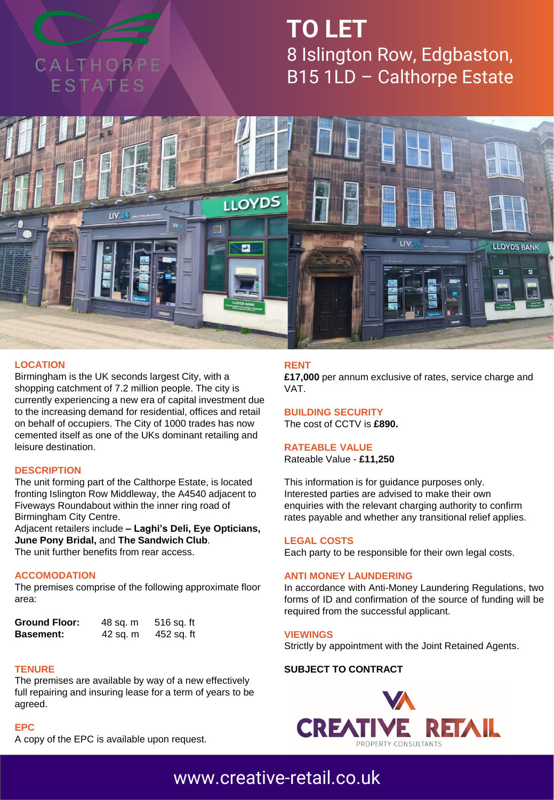

## **TO LET** 8 Islington Row, Edgbaston, B15 1LD – Calthorpe Estate



#### **LOCATION**

Birmingham is the UK seconds largest City, with a shopping catchment of 7.2 million people. The city is currently experiencing a new era of capital investment due to the increasing demand for residential, offices and retail on behalf of occupiers. The City of 1000 trades has now cemented itself as one of the UKs dominant retailing and leisure destination.

#### **DESCRIPTION**

The unit forming part of the Calthorpe Estate, is located fronting Islington Row Middleway, the A4540 adjacent to Fiveways Roundabout within the inner ring road of Birmingham City Centre.

Adjacent retailers include **– Laghi's Deli, Eye Opticians, June Pony Bridal,** and **The Sandwich Club**. The unit further benefits from rear access.

#### **ACCOMODATION**

The premises comprise of the following approximate floor area:

| <b>Ground Floor:</b> | 48 sq. m | 516 sq. ft |
|----------------------|----------|------------|
| <b>Basement:</b>     | 42 sq. m | 452 sq. ft |

#### **TENURE**

The premises are available by way of a new effectively full repairing and insuring lease for a term of years to be agreed.

#### **EPC**

A copy of the EPC is available upon request.

#### **RENT**

**£17,000** per annum exclusive of rates, service charge and VAT.

**BUILDING SECURITY** The cost of CCTV is **£890.**

#### **RATEABLE VALUE**

Rateable Value - **£11,250**

This information is for guidance purposes only. Interested parties are advised to make their own enquiries with the relevant charging authority to confirm rates payable and whether any transitional relief applies.

#### **LEGAL COSTS**

Each party to be responsible for their own legal costs.

#### **ANTI MONEY LAUNDERING**

In accordance with Anti-Money Laundering Regulations, two forms of ID and confirmation of the source of funding will be required from the successful applicant.

#### **VIEWINGS**

Strictly by appointment with the Joint Retained Agents.

#### **SUBJECT TO CONTRACT**



### [www.creative-retail.co.uk](http://www.creative-retail.co.uk/)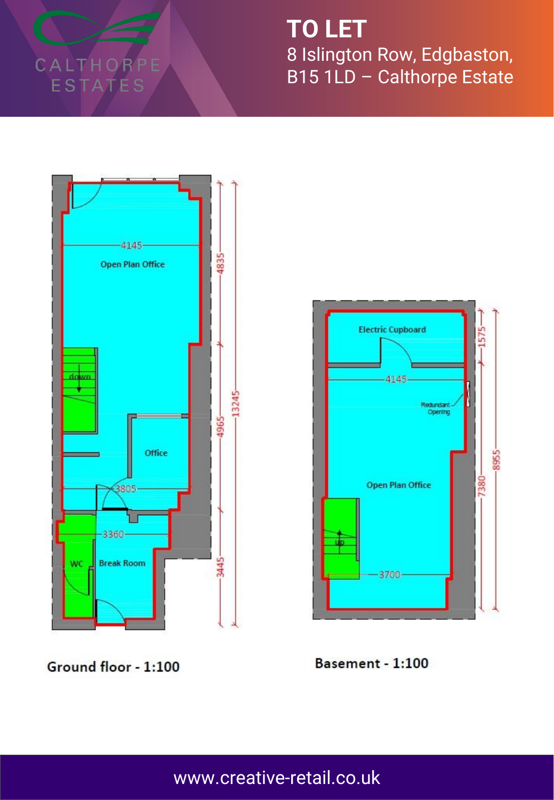CALTHORPE ESTATES

**TO LET** 8 Islington Row, Edgbaston, B15 1LD - Calthorpe Estate



**Electric Cupboard** 1575  $-4145$ Redundant Opening 8955 7380-**Open Plan Office**  $3700 -$ 

Ground floor - 1:100

Basement - 1:100

www.creative-retail.co.uk